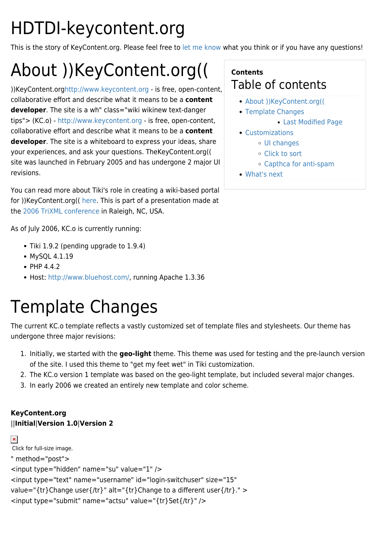# HDTDI-keycontent.org

This is the story of KeyContent.org. Please feel free to [let me know](https://tiki.org/UserPagericks99) what you think or if you have any questions!

# About ))KeyContent.org((

))KeyContent.or[ghttp://www.keycontent.org](https://tiki.org/tiki-editpage.php?page=+%28KC.o%29+-+%5Bhttp%3A%2F%2Fwww.keycontent.org%5D+-+is+free%2C+open-content%2C+collaborative+effort+and+describe+what+it+means+to+be+a+<strong>content+developer</strong>.+The+site+is+a+wh) - is free, open-content, collaborative effort and describe what it means to be a **content developer**. The site is a wh" class="wiki wikinew text-danger tips"> (KC.o) -<http://www.keycontent.org> - is free, open-content, collaborative effort and describe what it means to be a **content developer**. The site is a whiteboard to express your ideas, share your experiences, and ask your questions. TheKeyContent.org(( site was launched in February 2005 and has undergone 2 major UI revisions.

You can read more about Tiki's role in creating a wiki-based portal for ))KeyContent.org(( [here](http://www.keycontent.org/tiki-index.php?page=Wiki-based+Portal). This is part of a presentation made at the [2006 TriXML conference](http://www.trixml.org/confindex.shtml) in Raleigh, NC, USA.

As of July 2006, KC.o is currently running:

- Tiki 1.9.2 (pending upgrade to 1.9.4)
- MySOL 4.1.19
- $\bullet$  PHP 4.4.2
- Host:<http://www.bluehost.com/>, running Apache 1.3.36

## Template Changes

The current KC.o template reflects a vastly customized set of template files and stylesheets. Our theme has undergone three major revisions:

- 1. Initially, we started with the **geo-light** theme. This theme was used for testing and the pre-launch version of the site. I used this theme to "get my feet wet" in Tiki customization.
- 2. The KC.o version 1 template was based on the geo-light template, but included several major changes.
- 3. In early 2006 we created an entirely new template and color scheme.

#### **KeyContent.org** ||**Initial**|**Version 1.0**|**Version 2**

```
\pmb{\times}Click for full-size image.
" method="post">
<input type="hidden" name="su" value="1" />
<input type="text" name="username" id="login-switchuser" size="15"
value="{tr}Change user{/tr}" alt="{tr}Change to a different user{/tr}." >
<input type="submit" name="actsu" value="{tr}Set{/tr}" />
```
#### **Contents** Table of contents

- [About \)\)KeyContent.org\(\(](#About_KeyContent.org_)
- [Template Changes](#page--1-0)
	- [Last Modified Page](#page--1-0)
- [Customizations](#page--1-0)
	- [UI changes](#page--1-0)
	- [Click to sort](#page--1-0)
	- [Capthca for anti-spam](#page--1-0)
- [What's next](#page--1-0)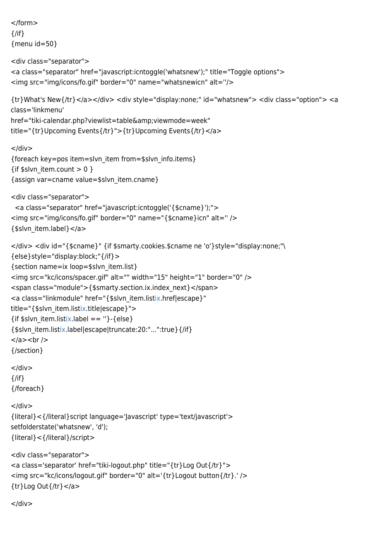```
</form>
{/if}
{menu id=50}
<div class="separator">
<a class="separator" href="javascript:icntoggle('whatsnew');" title="Toggle options">
<img src="img/icons/fo.gif" border="0" name="whatsnewicn" alt=''/> 
{tr}What's New{/tr}</a></div> <div style="display:none;" id="whatsnew"> <div class="option"> <a
class='linkmenu'
href="tiki-calendar.php?viewlist=table&viewmode=week"
title="{tr}Upcoming Events{/tr}">{tr}Upcoming Events{/tr}</a>
</div>{foreach key=pos item=slvn_item from=$slvn_info.items}
{if $slvn_item.count > 0 }
{assign var=cname value=$slvn_item.cname}
<div class="separator">
  <a class="separator" href="javascript:icntoggle('{$cname}');">
<img src="img/icons/fo.gif" border="0" name="{$cname}icn" alt='' />
{$slvn_item.label}</a>
</div> <div id="{$cname}" {if $smarty.cookies.$cname ne 'o'}style="display:none;"\
{else}style="display:block;"{/if}>
{section name=ix loop=$slvn_item.list}
<img src="kc/icons/spacer.gif" alt="" width="15" height="1" border="0" />
<span class="module">{$smarty.section.ix.index_next}</span>
ix.href|escape}"
ix.title|escape}">
\{tix.label == "\}-\{else\}{$slvn_item.listix.label|escape|truncate:20:"...":true}{/if}
</a><br/>{/section}
</div>\{/if\}{/foreach}
\lt/div>{literal}<{/literal}script language='Javascript' type='text/javascript'>
setfolderstate('whatsnew', 'd');
{literal}<{/literal}/script>
<div class="separator">
<a class='separator' href="tiki-logout.php" title="{tr}Log Out{/tr}">
<img src="kc/icons/logout.gif" border="0" alt='{tr}Logout button{/tr}.' /> 
{tr}Log Out{/tr}</a>
```

```
</div>
```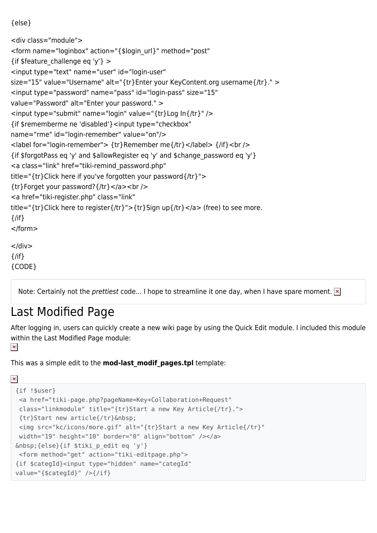```
{else}
```

```
<div class="module">
<form name="loginbox" action="{$login_url}" method="post"
{if $feature_challenge eq 'y'} ><input type="text" name="user" id="login-user"
size="15" value="Username" alt="{tr}Enter your KeyContent.org username{/tr}." >
<input type="password" name="pass" id="login-pass" size="15"
value="Password" alt="Enter your password." >
<input type="submit" name="login" value="{tr}Log In{/tr}" />
{if $rememberme ne 'disabled'}<input type="checkbox"
name="rme" id="login-remember" value="on"/>
<label for="login-remember"> {tr}Remember me{/tr}</label> {/if}<br />
{if $forgotPass eq 'y' and $allowRegister eq 'y' and $change_password eq 'y'}
<a class="link" href="tiki-remind_password.php"
title="{tr}Click here if you've forgotten your password{/tr}">
{tr}Forget your password?{/tr}</a><br />
<a href="tiki-register.php" class="link"
title="{tr}Click here to register{/tr}">{tr}Sign up{/tr}</a> (free) to see more.
\{/if\}
</form>
\langlediv\rangle{/if}
{CODE}
```
Note: Certainly not the *prettiest* code... I hope to streamline it one day, when I have spare moment.  $\mathbf{x}$ 

#### Last Modified Page

After logging in, users can quickly create a new wiki page by using the Quick Edit module. I included this module within the Last Modified Page module:  $\pmb{\times}$ 

This was a simple edit to the **mod-last\_modif\_pages.tpl** template:

```
\pmb{\times}{if !$user}
   <a href="tiki-page.php?pageName=Key+Collaboration+Request"
   class="linkmodule" title="{tr}Start a new Key Article{/tr}.">
   {tr}Start new article{/tr} 
   <img src="kc/icons/more.gif" alt="{tr}Start a new Key Article{/tr}"
   width="19" height="10" border="0" align="bottom" /></a>
 \ \{else\}\{if \ <form method="get" action="tiki-editpage.php">
 {if $categId}<input type="hidden" name="categId"
 value="{$categId}" />{/if}
```